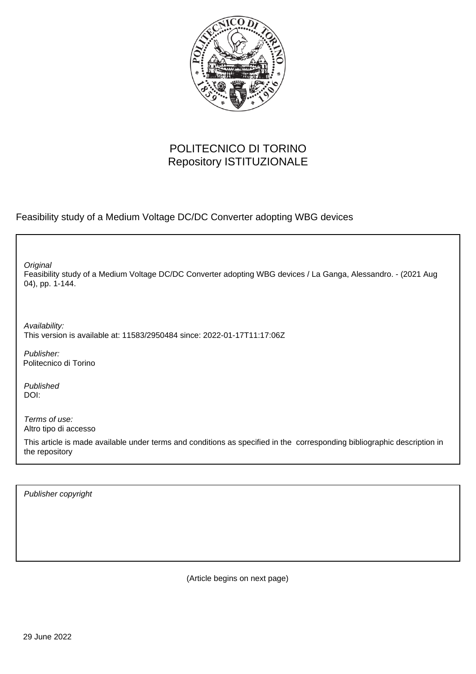

## POLITECNICO DI TORINO Repository ISTITUZIONALE

Feasibility study of a Medium Voltage DC/DC Converter adopting WBG devices

Feasibility study of a Medium Voltage DC/DC Converter adopting WBG devices / La Ganga, Alessandro. - (2021 Aug 04), pp. 1-144. **Original** 

Availability: This version is available at: 11583/2950484 since: 2022-01-17T11:17:06Z

Publisher: Politecnico di Torino

Published DOI:

Terms of use: Altro tipo di accesso

This article is made available under terms and conditions as specified in the corresponding bibliographic description in the repository

Publisher copyright

(Article begins on next page)